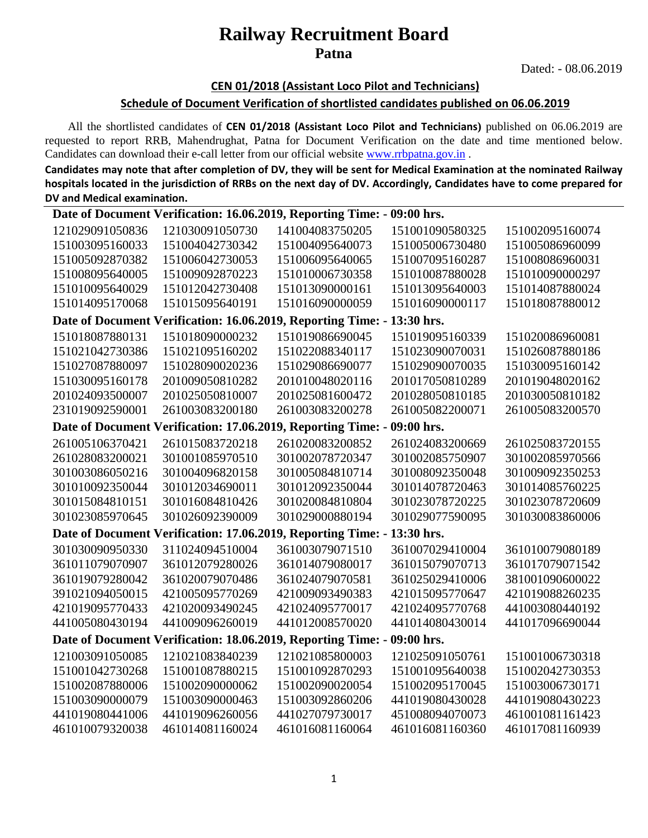## **Railway Recruitment Board Patna**

Dated: - 08.06.2019

#### **CEN 01/2018 (Assistant Loco Pilot and Technicians)**

#### **Schedule of Document Verification of shortlisted candidates published on 06.06.2019**

All the shortlisted candidates of **CEN 01/2018 (Assistant Loco Pilot and Technicians)** published on 06.06.2019 are requested to report RRB, Mahendrughat, Patna for Document Verification on the date and time mentioned below. Candidates can download their e-call letter from our official website www.rrbpatna.gov.in.

**Candidates may note that after completion of DV, they will be sent for Medical Examination at the nominated Railway hospitals located in the jurisdiction of RRBs on the next day of DV. Accordingly, Candidates have to come prepared for DV and Medical examination.** 

| Date of Document Verification: 16.06.2019, Reporting Time: -<br>09:00 hrs. |                 |                                                              |                 |                 |  |
|----------------------------------------------------------------------------|-----------------|--------------------------------------------------------------|-----------------|-----------------|--|
| 121029091050836                                                            | 121030091050730 | 141004083750205                                              | 151001090580325 | 151002095160074 |  |
| 151003095160033                                                            | 151004042730342 | 151004095640073                                              | 151005006730480 | 151005086960099 |  |
| 151005092870382                                                            | 151006042730053 | 151006095640065                                              | 151007095160287 | 151008086960031 |  |
| 151008095640005                                                            | 151009092870223 | 151010006730358                                              | 151010087880028 | 151010090000297 |  |
| 151010095640029                                                            | 151012042730408 | 151013090000161                                              | 151013095640003 | 151014087880024 |  |
| 151014095170068                                                            | 151015095640191 | 151016090000059                                              | 151016090000117 | 151018087880012 |  |
|                                                                            |                 | Date of Document Verification: 16.06.2019, Reporting Time: - | 13:30 hrs.      |                 |  |
| 151018087880131                                                            | 151018090000232 | 151019086690045                                              | 151019095160339 | 151020086960081 |  |
| 151021042730386                                                            | 151021095160202 | 151022088340117                                              | 151023090070031 | 151026087880186 |  |
| 151027087880097                                                            | 151028090020236 | 151029086690077                                              | 151029090070035 | 151030095160142 |  |
| 151030095160178                                                            | 201009050810282 | 201010048020116                                              | 201017050810289 | 201019048020162 |  |
| 201024093500007                                                            | 201025050810007 | 201025081600472                                              | 201028050810185 | 201030050810182 |  |
| 231019092590001                                                            | 261003083200180 | 261003083200278                                              | 261005082200071 | 261005083200570 |  |
|                                                                            |                 | Date of Document Verification: 17.06.2019, Reporting Time: - | 09:00 hrs.      |                 |  |
| 261005106370421                                                            | 261015083720218 | 261020083200852                                              | 261024083200669 | 261025083720155 |  |
| 261028083200021                                                            | 301001085970510 | 301002078720347                                              | 301002085750907 | 301002085970566 |  |
| 301003086050216                                                            | 301004096820158 | 301005084810714                                              | 301008092350048 | 301009092350253 |  |
| 301010092350044                                                            | 301012034690011 | 301012092350044                                              | 301014078720463 | 301014085760225 |  |
| 301015084810151                                                            | 301016084810426 | 301020084810804                                              | 301023078720225 | 301023078720609 |  |
| 301023085970645                                                            | 301026092390009 | 301029000880194                                              | 301029077590095 | 301030083860006 |  |
|                                                                            |                 | Date of Document Verification: 17.06.2019, Reporting Time: - | 13:30 hrs.      |                 |  |
| 301030090950330                                                            | 311024094510004 | 361003079071510                                              | 361007029410004 | 361010079080189 |  |
| 361011079070907                                                            | 361012079280026 | 361014079080017                                              | 361015079070713 | 361017079071542 |  |
| 361019079280042                                                            | 361020079070486 | 361024079070581                                              | 361025029410006 | 381001090600022 |  |
| 391021094050015                                                            | 421005095770269 | 421009093490383                                              | 421015095770647 | 421019088260235 |  |
| 421019095770433                                                            | 421020093490245 | 421024095770017                                              | 421024095770768 | 441003080440192 |  |
| 441005080430194                                                            | 441009096260019 | 441012008570020                                              | 441014080430014 | 441017096690044 |  |
| 09:00 hrs.<br>Date of Document Verification: 18.06.2019, Reporting Time: - |                 |                                                              |                 |                 |  |
| 121003091050085                                                            | 121021083840239 | 121021085800003                                              | 121025091050761 | 151001006730318 |  |
| 151001042730268                                                            | 151001087880215 | 151001092870293                                              | 151001095640038 | 151002042730353 |  |
| 151002087880006                                                            | 151002090000062 | 151002090020054                                              | 151002095170045 | 151003006730171 |  |
| 151003090000079                                                            | 151003090000463 | 151003092860206                                              | 441019080430028 | 441019080430223 |  |
| 441019080441006                                                            | 441019096260056 | 441027079730017                                              | 451008094070073 | 461001081161423 |  |
| 461010079320038                                                            | 461014081160024 | 461016081160064                                              | 461016081160360 | 461017081160939 |  |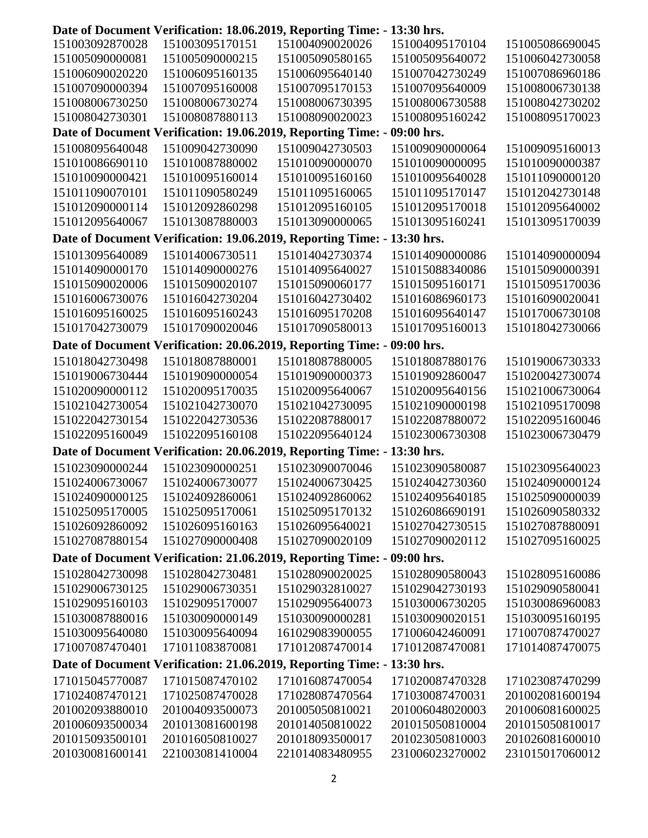|                                                                         |                 | Date of Document Verification: 18.06.2019, Reporting Time: - 13:30 hrs. |                 |                 |  |
|-------------------------------------------------------------------------|-----------------|-------------------------------------------------------------------------|-----------------|-----------------|--|
| 151003092870028                                                         | 151003095170151 | 151004090020026                                                         | 151004095170104 | 151005086690045 |  |
| 151005090000081                                                         | 151005090000215 | 151005090580165                                                         | 151005095640072 | 151006042730058 |  |
| 151006090020220                                                         | 151006095160135 | 151006095640140                                                         | 151007042730249 | 151007086960186 |  |
| 151007090000394                                                         | 151007095160008 | 151007095170153                                                         | 151007095640009 | 151008006730138 |  |
| 151008006730250                                                         | 151008006730274 | 151008006730395                                                         | 151008006730588 | 151008042730202 |  |
| 151008042730301                                                         | 151008087880113 | 151008090020023                                                         | 151008095160242 | 151008095170023 |  |
|                                                                         |                 | Date of Document Verification: 19.06.2019, Reporting Time: - 09:00 hrs. |                 |                 |  |
| 151008095640048                                                         | 151009042730090 | 151009042730503                                                         | 151009090000064 | 151009095160013 |  |
| 151010086690110                                                         | 151010087880002 | 151010090000070                                                         | 151010090000095 | 151010090000387 |  |
| 151010090000421                                                         | 151010095160014 | 151010095160160                                                         | 151010095640028 | 151011090000120 |  |
| 151011090070101                                                         | 151011090580249 | 151011095160065                                                         | 151011095170147 | 151012042730148 |  |
| 151012090000114                                                         | 151012092860298 | 151012095160105                                                         | 151012095170018 | 151012095640002 |  |
| 151012095640067                                                         | 151013087880003 | 151013090000065                                                         | 151013095160241 | 151013095170039 |  |
|                                                                         |                 | Date of Document Verification: 19.06.2019, Reporting Time: -            | 13:30 hrs.      |                 |  |
| 151013095640089                                                         | 151014006730511 | 151014042730374                                                         | 151014090000086 | 151014090000094 |  |
| 151014090000170                                                         | 151014090000276 | 151014095640027                                                         | 151015088340086 | 151015090000391 |  |
| 151015090020006                                                         | 151015090020107 | 151015090060177                                                         | 151015095160171 | 151015095170036 |  |
| 151016006730076                                                         | 151016042730204 | 151016042730402                                                         | 151016086960173 | 151016090020041 |  |
| 151016095160025                                                         | 151016095160243 | 151016095170208                                                         | 151016095640147 | 151017006730108 |  |
| 151017042730079                                                         | 151017090020046 | 151017090580013                                                         | 151017095160013 | 151018042730066 |  |
|                                                                         |                 | Date of Document Verification: 20.06.2019, Reporting Time: - 09:00 hrs. |                 |                 |  |
| 151018042730498                                                         | 151018087880001 | 151018087880005                                                         | 151018087880176 | 151019006730333 |  |
| 151019006730444                                                         | 151019090000054 | 151019090000373                                                         | 151019092860047 | 151020042730074 |  |
| 151020090000112                                                         | 151020095170035 | 151020095640067                                                         | 151020095640156 | 151021006730064 |  |
| 151021042730054                                                         | 151021042730070 | 151021042730095                                                         | 151021090000198 | 151021095170098 |  |
| 151022042730154                                                         | 151022042730536 | 151022087880017                                                         | 151022087880072 | 151022095160046 |  |
| 151022095160049                                                         | 151022095160108 | 151022095640124                                                         | 151023006730308 | 151023006730479 |  |
|                                                                         |                 | Date of Document Verification: 20.06.2019, Reporting Time: - 13:30 hrs. |                 |                 |  |
|                                                                         |                 |                                                                         |                 |                 |  |
| 151023090000244                                                         | 151023090000251 | 151023090070046                                                         | 151023090580087 | 151023095640023 |  |
| 151024006730067                                                         | 151024006730077 | 151024006730425                                                         | 151024042730360 | 151024090000124 |  |
| 151024090000125                                                         | 151024092860061 | 151024092860062                                                         | 151024095640185 | 151025090000039 |  |
| 151025095170005                                                         | 151025095170061 | 151025095170132                                                         | 151026086690191 | 151026090580332 |  |
| 151026092860092                                                         | 151026095160163 | 151026095640021                                                         | 151027042730515 | 151027087880091 |  |
| 151027087880154                                                         | 151027090000408 | 151027090020109                                                         | 151027090020112 | 151027095160025 |  |
| Date of Document Verification: 21.06.2019, Reporting Time: - 09:00 hrs. |                 |                                                                         |                 |                 |  |
| 151028042730098                                                         | 151028042730481 | 151028090020025                                                         | 151028090580043 | 151028095160086 |  |
| 151029006730125                                                         | 151029006730351 | 151029032810027                                                         | 151029042730193 | 151029090580041 |  |
| 151029095160103                                                         | 151029095170007 | 151029095640073                                                         | 151030006730205 | 151030086960083 |  |
| 151030087880016                                                         | 151030090000149 | 151030090000281                                                         | 151030090020151 | 151030095160195 |  |
| 151030095640080                                                         | 151030095640094 | 161029083900055                                                         | 171006042460091 | 171007087470027 |  |
| 171007087470401                                                         | 171011083870081 | 171012087470014                                                         | 171012087470081 | 171014087470075 |  |
|                                                                         |                 | Date of Document Verification: 21.06.2019, Reporting Time: -            | 13:30 hrs.      |                 |  |
| 171015045770087                                                         | 171015087470102 | 171016087470054                                                         | 171020087470328 | 171023087470299 |  |
| 171024087470121                                                         | 171025087470028 | 171028087470564                                                         | 171030087470031 | 201002081600194 |  |
| 201002093880010                                                         | 201004093500073 | 201005050810021                                                         | 201006048020003 | 201006081600025 |  |
| 201006093500034                                                         | 201013081600198 | 201014050810022                                                         | 201015050810004 | 201015050810017 |  |
| 201015093500101                                                         | 201016050810027 | 201018093500017                                                         | 201023050810003 | 201026081600010 |  |
| 201030081600141                                                         | 221003081410004 | 221014083480955                                                         | 231006023270002 | 231015017060012 |  |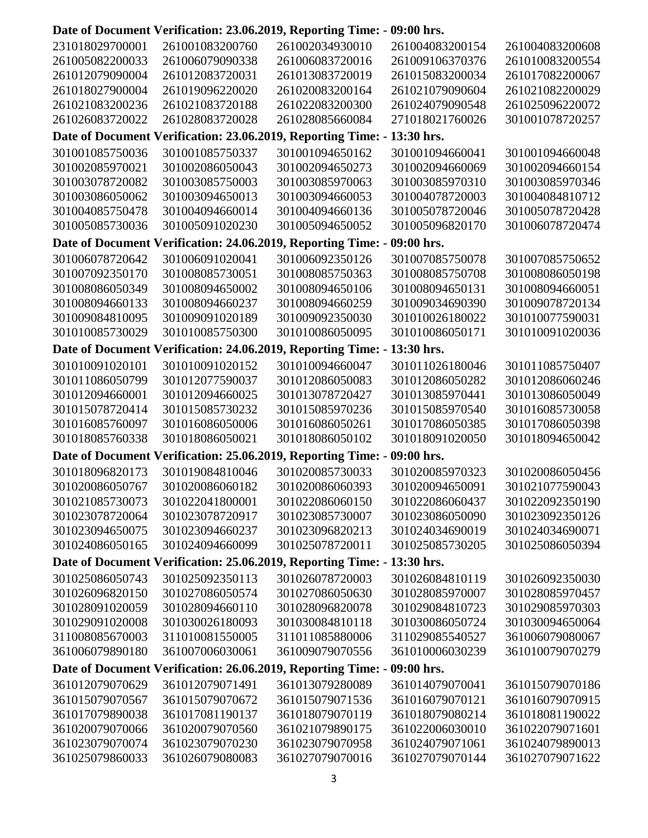# **Date of Document Verification: 23.06.2019, Reporting Time: - 09:00 hrs.**

| 231018029700001 | 261001083200760 | 261002034930010                                                         | 261004083200154 | 261004083200608 |
|-----------------|-----------------|-------------------------------------------------------------------------|-----------------|-----------------|
| 261005082200033 | 261006079090338 | 261006083720016                                                         | 261009106370376 | 261010083200554 |
| 261012079090004 | 261012083720031 | 261013083720019                                                         | 261015083200034 | 261017082200067 |
| 261018027900004 | 261019096220020 | 261020083200164                                                         | 261021079090604 | 261021082200029 |
| 261021083200236 | 261021083720188 | 261022083200300                                                         | 261024079090548 | 261025096220072 |
| 261026083720022 | 261028083720028 | 261028085660084                                                         | 271018021760026 | 301001078720257 |
|                 |                 | Date of Document Verification: 23.06.2019, Reporting Time: - 13:30 hrs. |                 |                 |
| 301001085750036 | 301001085750337 | 301001094650162                                                         | 301001094660041 | 301001094660048 |
| 301002085970021 | 301002086050043 | 301002094650273                                                         | 301002094660069 | 301002094660154 |
| 301003078720082 | 301003085750003 | 301003085970063                                                         | 301003085970310 | 301003085970346 |
| 301003086050062 | 301003094650013 | 301003094660053                                                         | 301004078720003 | 301004084810712 |
| 301004085750478 | 301004094660014 | 301004094660136                                                         | 301005078720046 | 301005078720428 |
| 301005085730036 | 301005091020230 | 301005094650052                                                         | 301005096820170 | 301006078720474 |
|                 |                 | Date of Document Verification: 24.06.2019, Reporting Time: -            | 09:00 hrs.      |                 |
|                 |                 |                                                                         |                 |                 |
| 301006078720642 | 301006091020041 | 301006092350126                                                         | 301007085750078 | 301007085750652 |
| 301007092350170 | 301008085730051 | 301008085750363                                                         | 301008085750708 | 301008086050198 |
| 301008086050349 | 301008094650002 | 301008094650106                                                         | 301008094650131 | 301008094660051 |
| 301008094660133 | 301008094660237 | 301008094660259                                                         | 301009034690390 | 301009078720134 |
| 301009084810095 | 301009091020189 | 301009092350030                                                         | 301010026180022 | 301010077590031 |
| 301010085730029 | 301010085750300 | 301010086050095                                                         | 301010086050171 | 301010091020036 |
|                 |                 | Date of Document Verification: 24.06.2019, Reporting Time: - 13:30 hrs. |                 |                 |
| 301010091020101 | 301010091020152 | 301010094660047                                                         | 301011026180046 | 301011085750407 |
| 301011086050799 | 301012077590037 | 301012086050083                                                         | 301012086050282 | 301012086060246 |
| 301012094660001 | 301012094660025 | 301013078720427                                                         | 301013085970441 | 301013086050049 |
| 301015078720414 | 301015085730232 | 301015085970236                                                         | 301015085970540 | 301016085730058 |
| 301016085760097 | 301016086050006 | 301016086050261                                                         | 301017086050385 | 301017086050398 |
| 301018085760338 | 301018086050021 | 301018086050102                                                         | 301018091020050 | 301018094650042 |
|                 |                 | Date of Document Verification: 25.06.2019, Reporting Time: -            | 09:00 hrs.      |                 |
| 301018096820173 | 301019084810046 | 301020085730033                                                         | 301020085970323 | 301020086050456 |
| 301020086050767 | 301020086060182 | 301020086060393                                                         | 301020094650091 | 301021077590043 |
| 301021085730073 | 301022041800001 | 301022086060150                                                         | 301022086060437 | 301022092350190 |
| 301023078720064 | 301023078720917 | 301023085730007                                                         | 301023086050090 | 301023092350126 |
| 301023094650075 | 301023094660237 | 301023096820213                                                         | 301024034690019 | 301024034690071 |
| 301024086050165 | 301024094660099 | 301025078720011                                                         | 301025085730205 | 301025086050394 |
|                 |                 | Date of Document Verification: 25.06.2019, Reporting Time: - 13:30 hrs. |                 |                 |
| 301025086050743 | 301025092350113 | 301026078720003                                                         | 301026084810119 | 301026092350030 |
| 301026096820150 | 301027086050574 | 301027086050630                                                         | 301028085970007 | 301028085970457 |
| 301028091020059 | 301028094660110 | 301028096820078                                                         | 301029084810723 | 301029085970303 |
| 301029091020008 | 301030026180093 | 301030084810118                                                         | 301030086050724 | 301030094650064 |
| 311008085670003 | 311010081550005 | 311011085880006                                                         | 311029085540527 | 361006079080067 |
| 361006079890180 | 361007006030061 | 361009079070556                                                         | 361010006030239 | 361010079070279 |
|                 |                 | Date of Document Verification: 26.06.2019, Reporting Time: -            | 09:00 hrs.      |                 |
| 361012079070629 | 361012079071491 | 361013079280089                                                         | 361014079070041 |                 |
|                 |                 |                                                                         |                 | 361015079070186 |
| 361015079070567 | 361015079070672 | 361015079071536                                                         | 361016079070121 | 361016079070915 |
| 361017079890038 | 361017081190137 | 361018079070119                                                         | 361018079080214 | 361018081190022 |
| 361020079070066 | 361020079070560 | 361021079890175                                                         | 361022006030010 | 361022079071601 |
| 361023079070074 | 361023079070230 | 361023079070958                                                         | 361024079071061 | 361024079890013 |
| 361025079860033 | 361026079080083 | 361027079070016                                                         | 361027079070144 | 361027079071622 |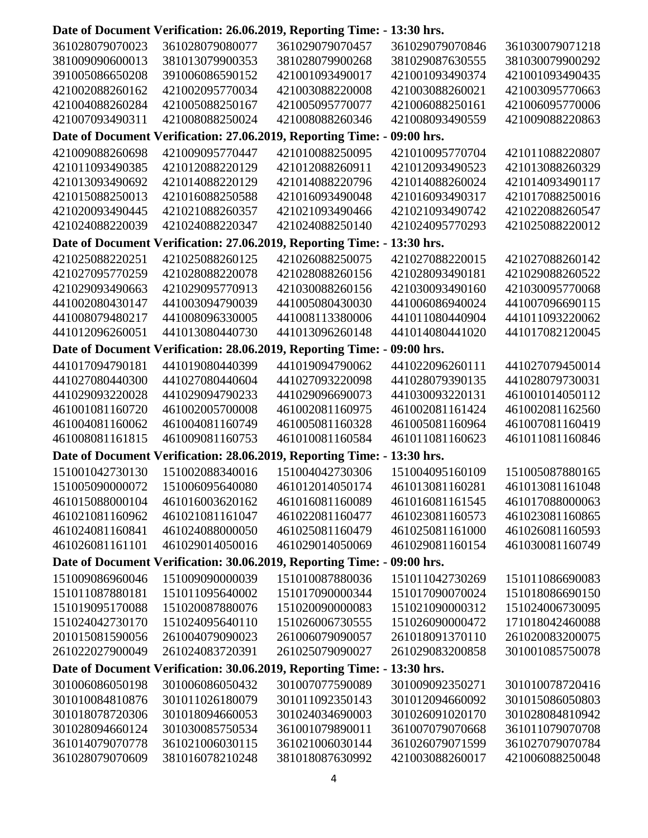### **Date of Document Verification: 26.06.2019, Reporting Time: - 13:30 hrs.**

| 361028079070023 | 361028079080077 | 361029079070457                                                         | 361029079070846                    | 361030079071218 |
|-----------------|-----------------|-------------------------------------------------------------------------|------------------------------------|-----------------|
| 381009090600013 | 381013079900353 | 381028079900268                                                         | 381029087630555                    | 381030079900292 |
| 391005086650208 | 391006086590152 | 421001093490017                                                         | 421001093490374                    | 421001093490435 |
| 421002088260162 | 421002095770034 | 421003088220008                                                         | 421003088260021                    | 421003095770663 |
| 421004088260284 | 421005088250167 | 421005095770077                                                         | 421006088250161                    | 421006095770006 |
| 421007093490311 | 421008088250024 | 421008088260346                                                         | 421008093490559                    | 421009088220863 |
|                 |                 | Date of Document Verification: 27.06.2019, Reporting Time: - 09:00 hrs. |                                    |                 |
| 421009088260698 | 421009095770447 | 421010088250095                                                         | 421010095770704                    | 421011088220807 |
|                 |                 | 421012088260911                                                         |                                    |                 |
| 421011093490385 | 421012088220129 |                                                                         | 421012093490523<br>421014088260024 | 421013088260329 |
| 421013093490692 | 421014088220129 | 421014088220796                                                         |                                    | 421014093490117 |
| 421015088250013 | 421016088250588 | 421016093490048                                                         | 421016093490317                    | 421017088250016 |
| 421020093490445 | 421021088260357 | 421021093490466                                                         | 421021093490742                    | 421022088260547 |
| 421024088220039 | 421024088220347 | 421024088250140                                                         | 421024095770293                    | 421025088220012 |
|                 |                 | Date of Document Verification: 27.06.2019, Reporting Time: -            | 13:30 hrs.                         |                 |
| 421025088220251 | 421025088260125 | 421026088250075                                                         | 421027088220015                    | 421027088260142 |
| 421027095770259 | 421028088220078 | 421028088260156                                                         | 421028093490181                    | 421029088260522 |
| 421029093490663 | 421029095770913 | 421030088260156                                                         | 421030093490160                    | 421030095770068 |
| 441002080430147 | 441003094790039 | 441005080430030                                                         | 441006086940024                    | 441007096690115 |
| 441008079480217 | 441008096330005 | 441008113380006                                                         | 441011080440904                    | 441011093220062 |
| 441012096260051 | 441013080440730 | 441013096260148                                                         | 441014080441020                    | 441017082120045 |
|                 |                 | Date of Document Verification: 28.06.2019, Reporting Time: - 09:00 hrs. |                                    |                 |
| 441017094790181 | 441019080440399 | 441019094790062                                                         | 441022096260111                    | 441027079450014 |
| 441027080440300 | 441027080440604 | 441027093220098                                                         | 441028079390135                    | 441028079730031 |
| 441029093220028 | 441029094790233 | 441029096690073                                                         | 441030093220131                    | 461001014050112 |
| 461001081160720 | 461002005700008 | 461002081160975                                                         | 461002081161424                    | 461002081162560 |
| 461004081160062 | 461004081160749 | 461005081160328                                                         | 461005081160964                    | 461007081160419 |
| 461008081161815 | 461009081160753 | 461010081160584                                                         | 461011081160623                    | 461011081160846 |
|                 |                 | Date of Document Verification: 28.06.2019, Reporting Time: -            | 13:30 hrs.                         |                 |
|                 |                 |                                                                         |                                    |                 |
| 151001042730130 | 151002088340016 | 151004042730306                                                         | 151004095160109                    | 151005087880165 |
| 151005090000072 | 151006095640080 | 461012014050174                                                         | 461013081160281                    | 461013081161048 |
| 461015088000104 | 461016003620162 | 461016081160089                                                         | 461016081161545                    | 461017088000063 |
| 461021081160962 | 461021081161047 | 461022081160477                                                         | 461023081160573                    | 461023081160865 |
| 461024081160841 | 461024088000050 | 461025081160479                                                         | 461025081161000                    | 461026081160593 |
| 461026081161101 | 461029014050016 | 461029014050069                                                         | 461029081160154                    | 461030081160749 |
|                 |                 | Date of Document Verification: 30.06.2019, Reporting Time: - 09:00 hrs. |                                    |                 |
| 151009086960046 | 151009090000039 | 151010087880036                                                         | 151011042730269                    | 151011086690083 |
| 151011087880181 | 151011095640002 | 151017090000344                                                         | 151017090070024                    | 151018086690150 |
| 151019095170088 | 151020087880076 | 151020090000083                                                         | 151021090000312                    | 151024006730095 |
| 151024042730170 | 151024095640110 | 151026006730555                                                         | 151026090000472                    | 171018042460088 |
| 201015081590056 | 261004079090023 | 261006079090057                                                         | 261018091370110                    | 261020083200075 |
| 261022027900049 | 261024083720391 | 261025079090027                                                         | 261029083200858                    | 301001085750078 |
|                 |                 | Date of Document Verification: 30.06.2019, Reporting Time: - 13:30 hrs. |                                    |                 |
| 301006086050198 | 301006086050432 | 301007077590089                                                         | 301009092350271                    | 301010078720416 |
| 301010084810876 | 301011026180079 | 301011092350143                                                         | 301012094660092                    | 301015086050803 |
| 301018078720306 | 301018094660053 | 301024034690003                                                         | 301026091020170                    | 301028084810942 |
| 301028094660124 | 301030085750534 | 361001079890011                                                         | 361007079070668                    | 361011079070708 |
| 361014079070778 | 361021006030115 | 361021006030144                                                         | 361026079071599                    | 361027079070784 |
| 361028079070609 | 381016078210248 | 381018087630992                                                         | 421003088260017                    | 421006088250048 |
|                 |                 |                                                                         |                                    |                 |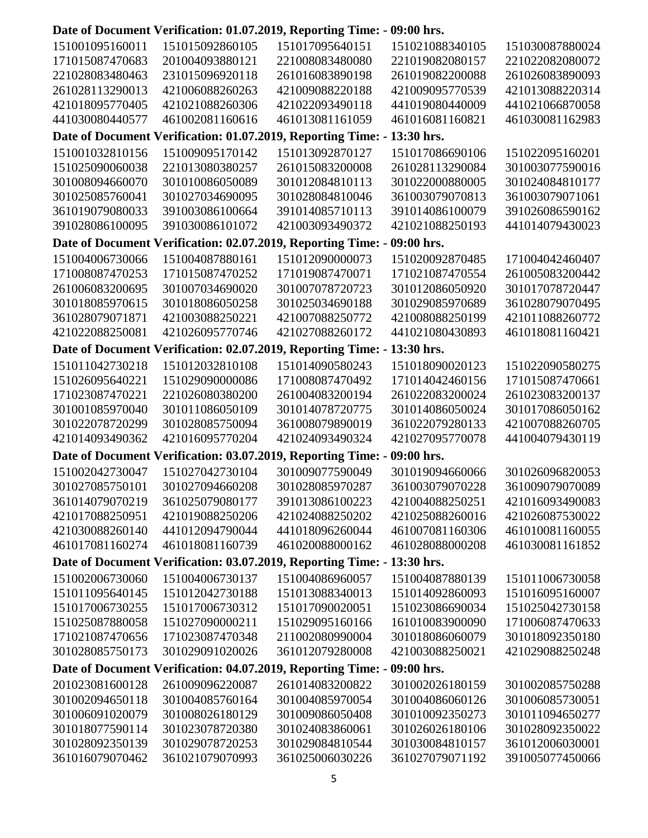# **Date of Document Verification: 01.07.2019, Reporting Time: - 09:00 hrs.**

| 151001095160011 | 151015092860105 | 151017095640151                                                         | 151021088340105 | 151030087880024 |
|-----------------|-----------------|-------------------------------------------------------------------------|-----------------|-----------------|
| 171015087470683 | 201004093880121 | 221008083480080                                                         | 221019082080157 | 221022082080072 |
| 221028083480463 | 231015096920118 | 261016083890198                                                         | 261019082200088 | 261026083890093 |
| 261028113290013 | 421006088260263 | 421009088220188                                                         | 421009095770539 | 421013088220314 |
| 421018095770405 | 421021088260306 | 421022093490118                                                         | 441019080440009 | 441021066870058 |
| 441030080440577 | 461002081160616 | 461013081161059                                                         | 461016081160821 | 461030081162983 |
|                 |                 | Date of Document Verification: 01.07.2019, Reporting Time: - 13:30 hrs. |                 |                 |
| 151001032810156 | 151009095170142 | 151013092870127                                                         | 151017086690106 | 151022095160201 |
| 151025090060038 | 221013080380257 | 261015083200008                                                         | 261028113290084 | 301003077590016 |
| 301008094660070 | 301010086050089 | 301012084810113                                                         | 301022000880005 | 301024084810177 |
| 301025085760041 | 301027034690095 | 301028084810046                                                         | 361003079070813 | 361003079071061 |
| 361019079080033 | 391003086100664 | 391014085710113                                                         | 391014086100079 | 391026086590162 |
| 391028086100095 | 391030086101072 | 421003093490372                                                         | 421021088250193 | 441014079430023 |
|                 |                 |                                                                         |                 |                 |
|                 |                 | Date of Document Verification: 02.07.2019, Reporting Time: -            | 09:00 hrs.      |                 |
| 151004006730066 | 151004087880161 | 151012090000073                                                         | 151020092870485 | 171004042460407 |
| 171008087470253 | 171015087470252 | 171019087470071                                                         | 171021087470554 | 261005083200442 |
| 261006083200695 | 301007034690020 | 301007078720723                                                         | 301012086050920 | 301017078720447 |
| 301018085970615 | 301018086050258 | 301025034690188                                                         | 301029085970689 | 361028079070495 |
| 361028079071871 | 421003088250221 | 421007088250772                                                         | 421008088250199 | 421011088260772 |
| 421022088250081 | 421026095770746 | 421027088260172                                                         | 441021080430893 | 461018081160421 |
|                 |                 | Date of Document Verification: 02.07.2019, Reporting Time: - 13:30 hrs. |                 |                 |
| 151011042730218 | 151012032810108 | 151014090580243                                                         | 151018090020123 | 151022090580275 |
| 151026095640221 | 151029090000086 | 171008087470492                                                         | 171014042460156 | 171015087470661 |
| 171023087470221 | 221026080380200 | 261004083200194                                                         | 261022083200024 | 261023083200137 |
| 301001085970040 | 301011086050109 | 301014078720775                                                         | 301014086050024 | 301017086050162 |
| 301022078720299 | 301028085750094 | 361008079890019                                                         | 361022079280133 | 421007088260705 |
| 421014093490362 | 421016095770204 | 421024093490324                                                         | 421027095770078 | 441004079430119 |
|                 |                 | Date of Document Verification: 03.07.2019, Reporting Time: -            | 09:00 hrs.      |                 |
| 151002042730047 | 151027042730104 | 301009077590049                                                         | 301019094660066 | 301026096820053 |
| 301027085750101 | 301027094660208 | 301028085970287                                                         | 361003079070228 | 361009079070089 |
| 361014079070219 | 361025079080177 | 391013086100223                                                         | 421004088250251 | 421016093490083 |
| 421017088250951 | 421019088250206 | 421024088250202                                                         | 421025088260016 | 421026087530022 |
| 421030088260140 | 441012094790044 | 441018096260044                                                         | 461007081160306 | 461010081160055 |
| 461017081160274 | 461018081160739 | 461020088000162                                                         | 461028088000208 | 461030081161852 |
|                 |                 |                                                                         |                 |                 |
|                 |                 | Date of Document Verification: 03.07.2019, Reporting Time: - 13:30 hrs. |                 |                 |
| 151002006730060 | 151004006730137 | 151004086960057                                                         | 151004087880139 | 151011006730058 |
| 151011095640145 | 151012042730188 | 151013088340013                                                         | 151014092860093 | 151016095160007 |
| 151017006730255 | 151017006730312 | 151017090020051                                                         | 151023086690034 | 151025042730158 |
| 151025087880058 | 151027090000211 | 151029095160166                                                         | 161010083900090 | 171006087470633 |
| 171021087470656 | 171023087470348 | 211002080990004                                                         | 301018086060079 | 301018092350180 |
| 301028085750173 | 301029091020026 | 361012079280008                                                         | 421003088250021 | 421029088250248 |
|                 |                 | Date of Document Verification: 04.07.2019, Reporting Time: -            | 09:00 hrs.      |                 |
| 201023081600128 | 261009096220087 | 261014083200822                                                         | 301002026180159 | 301002085750288 |
| 301002094650118 | 301004085760164 | 301004085970054                                                         | 301004086060126 | 301006085730051 |
| 301006091020079 | 301008026180129 | 301009086050408                                                         | 301010092350273 | 301011094650277 |
| 301018077590114 | 301023078720380 | 301024083860061                                                         | 301026026180106 | 301028092350022 |
| 301028092350139 | 301029078720253 | 301029084810544                                                         | 301030084810157 | 361012006030001 |
| 361016079070462 | 361021079070993 | 361025006030226                                                         | 361027079071192 | 391005077450066 |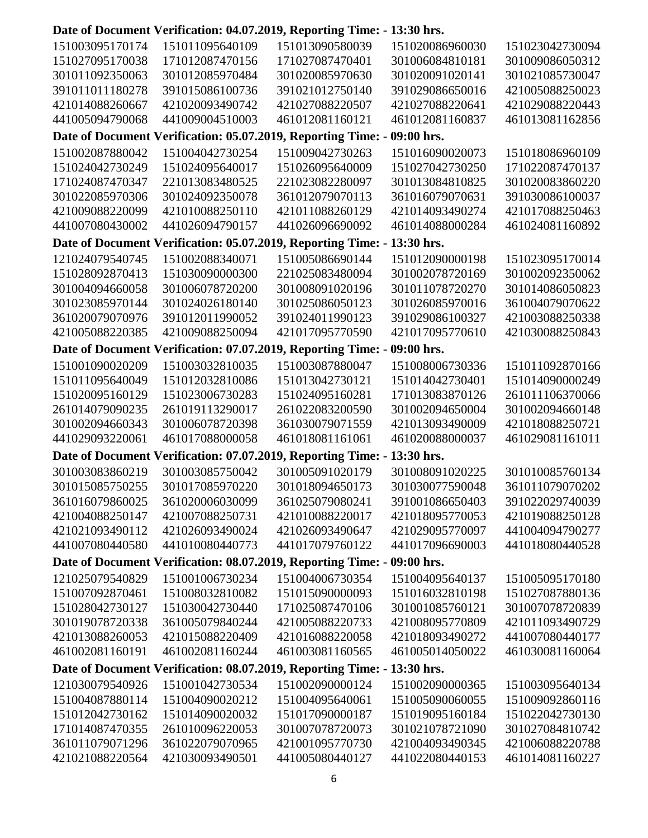# **Date of Document Verification: 04.07.2019, Reporting Time: - 13:30 hrs.**

| 151003095170174 | 151011095640109                    | 151013090580039                                                         | 151020086960030 | 151023042730094 |
|-----------------|------------------------------------|-------------------------------------------------------------------------|-----------------|-----------------|
| 151027095170038 | 171012087470156                    | 171027087470401                                                         | 301006084810181 | 301009086050312 |
| 301011092350063 | 301012085970484                    | 301020085970630                                                         | 301020091020141 | 301021085730047 |
| 391011011180278 | 391015086100736                    | 391021012750140                                                         | 391029086650016 | 421005088250023 |
| 421014088260667 | 421020093490742                    | 421027088220507                                                         | 421027088220641 | 421029088220443 |
| 441005094790068 | 441009004510003                    | 461012081160121                                                         | 461012081160837 | 461013081162856 |
|                 |                                    | Date of Document Verification: 05.07.2019, Reporting Time: - 09:00 hrs. |                 |                 |
| 151002087880042 | 151004042730254                    | 151009042730263                                                         | 151016090020073 | 151018086960109 |
| 151024042730249 | 151024095640017                    | 151026095640009                                                         | 151027042730250 | 171022087470137 |
| 171024087470347 | 221013083480525                    | 221023082280097                                                         | 301013084810825 | 301020083860220 |
| 301022085970306 | 301024092350078                    | 361012079070113                                                         | 361016079070631 | 391030086100037 |
| 421009088220099 | 421010088250110                    | 421011088260129                                                         | 421014093490274 | 421017088250463 |
|                 | 441026094790157                    |                                                                         |                 |                 |
| 441007080430002 |                                    | 441026096690092                                                         | 461014088000284 | 461024081160892 |
|                 |                                    | Date of Document Verification: 05.07.2019, Reporting Time: -            | 13:30 hrs.      |                 |
| 121024079540745 | 151002088340071                    | 151005086690144                                                         | 151012090000198 | 151023095170014 |
| 151028092870413 | 151030090000300                    | 221025083480094                                                         | 301002078720169 | 301002092350062 |
| 301004094660058 | 301006078720200                    | 301008091020196                                                         | 301011078720270 | 301014086050823 |
| 301023085970144 | 301024026180140                    | 301025086050123                                                         | 301026085970016 | 361004079070622 |
| 361020079070976 | 391012011990052                    | 391024011990123                                                         | 391029086100327 | 421003088250338 |
| 421005088220385 | 421009088250094                    | 421017095770590                                                         | 421017095770610 | 421030088250843 |
|                 |                                    | Date of Document Verification: 07.07.2019, Reporting Time: - 09:00 hrs. |                 |                 |
| 151001090020209 | 151003032810035                    | 151003087880047                                                         | 151008006730336 | 151011092870166 |
| 151011095640049 | 151012032810086                    | 151013042730121                                                         | 151014042730401 | 151014090000249 |
| 151020095160129 | 151023006730283                    | 151024095160281                                                         | 171013083870126 | 261011106370066 |
| 261014079090235 | 261019113290017                    | 261022083200590                                                         | 301002094650004 | 301002094660148 |
| 301002094660343 | 301006078720398                    | 361030079071559                                                         | 421013093490009 | 421018088250721 |
| 441029093220061 | 461017088000058                    | 461018081161061                                                         | 461020088000037 | 461029081161011 |
|                 |                                    | Date of Document Verification: 07.07.2019, Reporting Time: -            | 13:30 hrs.      |                 |
| 301003083860219 | 301003085750042                    | 301005091020179                                                         | 301008091020225 | 301010085760134 |
| 301015085750255 | 301017085970220                    | 301018094650173                                                         | 301030077590048 | 361011079070202 |
| 361016079860025 | 361020006030099                    | 361025079080241                                                         | 391001086650403 | 391022029740039 |
| 421004088250147 | 421007088250731                    | 421010088220017                                                         | 421018095770053 | 421019088250128 |
| 421021093490112 | 421026093490024                    | 421026093490647                                                         | 421029095770097 | 441004094790277 |
| 441007080440580 | 441010080440773                    | 441017079760122                                                         | 441017096690003 | 441018080440528 |
|                 |                                    | Date of Document Verification: 08.07.2019, Reporting Time: - 09:00 hrs. |                 |                 |
| 121025079540829 | 151001006730234                    | 151004006730354                                                         | 151004095640137 | 151005095170180 |
|                 |                                    |                                                                         |                 |                 |
| 151007092870461 | 151008032810082<br>151030042730440 | 151015090000093                                                         | 151016032810198 | 151027087880136 |
| 151028042730127 |                                    | 171025087470106                                                         | 301001085760121 | 301007078720839 |
| 301019078720338 | 361005079840244                    | 421005088220733                                                         | 421008095770809 | 421011093490729 |
| 421013088260053 | 421015088220409                    | 421016088220058                                                         | 421018093490272 | 441007080440177 |
| 461002081160191 | 461002081160244                    | 461003081160565                                                         | 461005014050022 | 461030081160064 |
|                 |                                    | Date of Document Verification: 08.07.2019, Reporting Time: -            | 13:30 hrs.      |                 |
| 121030079540926 | 151001042730534                    | 151002090000124                                                         | 151002090000365 | 151003095640134 |
| 151004087880114 | 151004090020212                    | 151004095640061                                                         | 151005090060055 | 151009092860116 |
| 151012042730162 | 151014090020032                    | 151017090000187                                                         | 151019095160184 | 151022042730130 |
| 171014087470355 | 261010096220053                    | 301007078720073                                                         | 301021078721090 | 301027084810742 |
| 361011079071296 | 361022079070965                    | 421001095770730                                                         | 421004093490345 | 421006088220788 |
| 421021088220564 | 421030093490501                    | 441005080440127                                                         | 441022080440153 | 461014081160227 |